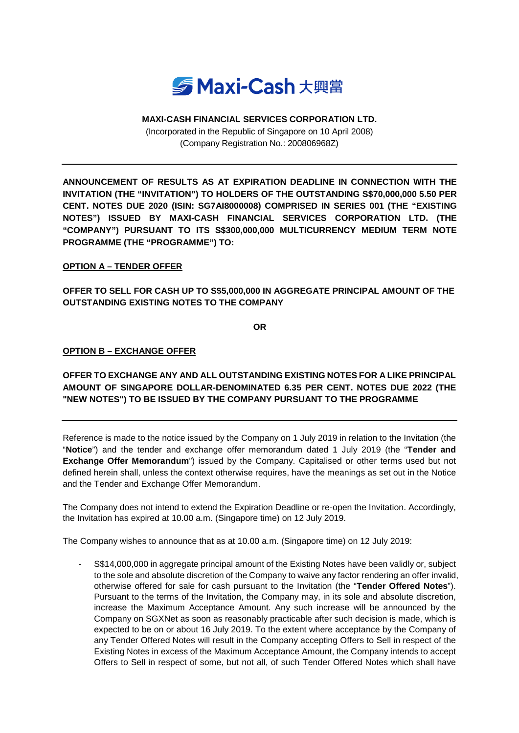

## **MAXI-CASH FINANCIAL SERVICES CORPORATION LTD.**

(Incorporated in the Republic of Singapore on 10 April 2008) (Company Registration No.: 200806968Z)

**ANNOUNCEMENT OF RESULTS AS AT EXPIRATION DEADLINE IN CONNECTION WITH THE INVITATION (THE "INVITATION") TO HOLDERS OF THE OUTSTANDING S\$70,000,000 5.50 PER CENT. NOTES DUE 2020 (ISIN: SG7AI8000008) COMPRISED IN SERIES 001 (THE "EXISTING NOTES") ISSUED BY MAXI-CASH FINANCIAL SERVICES CORPORATION LTD. (THE "COMPANY") PURSUANT TO ITS S\$300,000,000 MULTICURRENCY MEDIUM TERM NOTE PROGRAMME (THE "PROGRAMME") TO:**

## **OPTION A – TENDER OFFER**

**OFFER TO SELL FOR CASH UP TO S\$5,000,000 IN AGGREGATE PRINCIPAL AMOUNT OF THE OUTSTANDING EXISTING NOTES TO THE COMPANY**

**OR**

## **OPTION B – EXCHANGE OFFER**

**OFFER TO EXCHANGE ANY AND ALL OUTSTANDING EXISTING NOTES FOR A LIKE PRINCIPAL AMOUNT OF SINGAPORE DOLLAR-DENOMINATED 6.35 PER CENT. NOTES DUE 2022 (THE "NEW NOTES") TO BE ISSUED BY THE COMPANY PURSUANT TO THE PROGRAMME**

Reference is made to the notice issued by the Company on 1 July 2019 in relation to the Invitation (the "**Notice**") and the tender and exchange offer memorandum dated 1 July 2019 (the "**Tender and Exchange Offer Memorandum**") issued by the Company. Capitalised or other terms used but not defined herein shall, unless the context otherwise requires, have the meanings as set out in the Notice and the Tender and Exchange Offer Memorandum.

The Company does not intend to extend the Expiration Deadline or re-open the Invitation. Accordingly, the Invitation has expired at 10.00 a.m. (Singapore time) on 12 July 2019.

The Company wishes to announce that as at 10.00 a.m. (Singapore time) on 12 July 2019:

- S\$14,000,000 in aggregate principal amount of the Existing Notes have been validly or, subject to the sole and absolute discretion of the Company to waive any factor rendering an offer invalid, otherwise offered for sale for cash pursuant to the Invitation (the "**Tender Offered Notes**"). Pursuant to the terms of the Invitation, the Company may, in its sole and absolute discretion, increase the Maximum Acceptance Amount. Any such increase will be announced by the Company on SGXNet as soon as reasonably practicable after such decision is made, which is expected to be on or about 16 July 2019. To the extent where acceptance by the Company of any Tender Offered Notes will result in the Company accepting Offers to Sell in respect of the Existing Notes in excess of the Maximum Acceptance Amount, the Company intends to accept Offers to Sell in respect of some, but not all, of such Tender Offered Notes which shall have